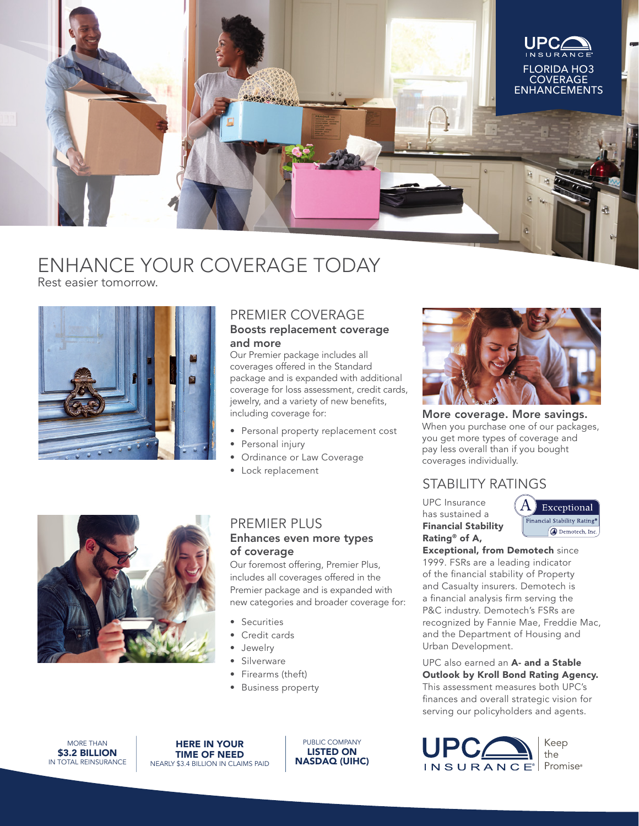

# ENHANCE YOUR COVERAGE TODAY

Rest easier tomorrow.



## PREMIER COVERAGE

#### Boosts replacement coverage and more

Our Premier package includes all coverages offered in the Standard package and is expanded with additional coverage for loss assessment, credit cards, jewelry, and a variety of new benefits, including coverage for:

- Personal property replacement cost
- Personal injury
- Ordinance or Law Coverage
- Lock replacement



More coverage. More savings. When you purchase one of our packages, you get more types of coverage and pay less overall than if you bought coverages individually.

## STABILITY RATINGS

UPC Insurance has sustained a Financial Stability Rating® of A,



Exceptional, from Demotech since 1999. FSRs are a leading indicator of the financial stability of Property and Casualty insurers. Demotech is a financial analysis firm serving the P&C industry. Demotech's FSRs are recognized by Fannie Mae, Freddie Mac, and the Department of Housing and Urban Development.

UPC also earned an A- and a Stable Outlook by Kroll Bond Rating Agency. This assessment measures both UPC's finances and overall strategic vision for serving our policyholders and agents.





### PREMIER PLUS Enhances even more types of coverage

Our foremost offering, Premier Plus, includes all coverages offered in the Premier package and is expanded with new categories and broader coverage for:

- Securities
- Credit cards
- Jewelry
- **Silverware**
- Firearms (theft)
- Business property

MORE THAN **\$3.2 BILLION** IN TOTAL REINSURANCE

HERE IN YOUR TIME OF NEED NEARLY \$3.4 BILLION IN CLAIMS PAID

PUBLIC COMPANY LISTED ON NASDAQ (UIHC)